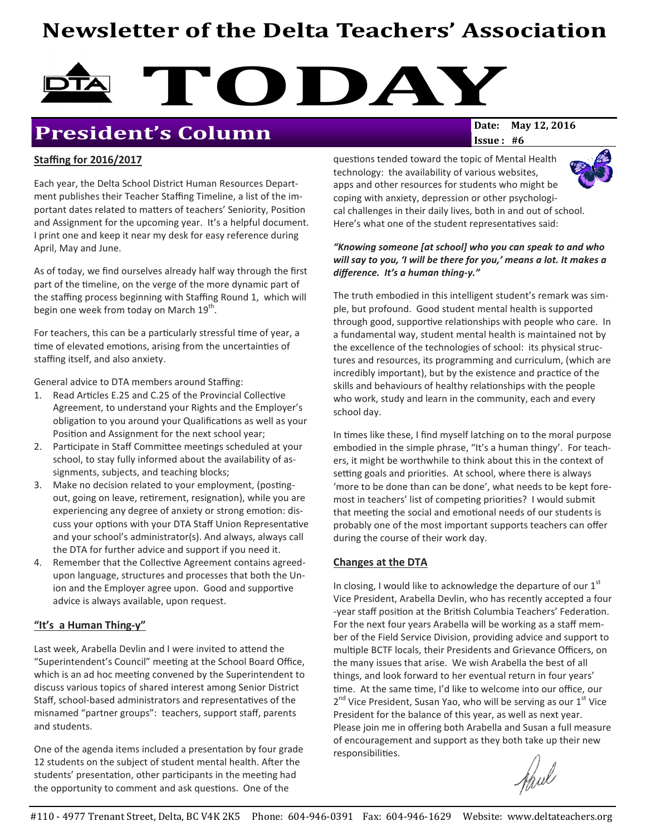# Newsletter of the Delta Teachers' Association



## **President's Column**

# $Issue: #6$

#### Staffing for 2016/2017

Each year, the Delta School District Human Resources Department publishes their Teacher Staffing Timeline, a list of the important dates related to matters of teachers' Seniority, Position and Assignment for the upcoming year. It's a helpful document. I print one and keep it near my desk for easy reference during April, May and June.

As of today, we find ourselves already half way through the first part of the timeline, on the verge of the more dynamic part of the staffing process beginning with Staffing Round 1, which will begin one week from today on March  $19^{\text{th}}$ .

For teachers, this can be a particularly stressful time of year, a time of elevated emotions, arising from the uncertainties of staffing itself, and also anxiety.

General advice to DTA members around Staffing:

- 1. Read Articles E.25 and C.25 of the Provincial Collective Agreement, to understand your Rights and the Employer's obligation to you around your Qualifications as well as your Position and Assignment for the next school year;
- 2. Participate in Staff Committee meetings scheduled at your school, to stay fully informed about the availability of assignments, subjects, and teaching blocks;
- 3. Make no decision related to your employment, (postingout, going on leave, retirement, resignation), while you are experiencing any degree of anxiety or strong emotion: discuss your options with your DTA Staff Union Representative and your school's administrator(s). And always, always call the DTA for further advice and support if you need it.
- 4. Remember that the Collective Agreement contains agreedupon language, structures and processes that both the Union and the Employer agree upon. Good and supportive advice is always available, upon request.

#### "It's a Human Thing-y"

Last week, Arabella Devlin and I were invited to attend the "Superintendent's Council" meeting at the School Board Office, which is an ad hoc meeting convened by the Superintendent to discuss various topics of shared interest among Senior District Staff, school-based administrators and representatives of the misnamed "partner groups": teachers, support staff, parents and students.

One of the agenda items included a presentation by four grade 12 students on the subject of student mental health. After the students' presentation, other participants in the meeting had the opportunity to comment and ask questions. One of the

questions tended toward the topic of Mental Health technology: the availability of various websites, apps and other resources for students who might be coping with anxiety, depression or other psychological challenges in their daily lives, both in and out of school. Here's what one of the student representatives said:

#### "Knowing someone [at school] who you can speak to and who will say to you, 'I will be there for you,' means a lot. It makes a difference. It's a human thing-y."

The truth embodied in this intelligent student's remark was simple, but profound. Good student mental health is supported through good, supportive relationships with people who care. In a fundamental way, student mental health is maintained not by the excellence of the technologies of school: its physical structures and resources, its programming and curriculum, (which are incredibly important), but by the existence and practice of the skills and behaviours of healthy relationships with the people who work, study and learn in the community, each and every school day.

In times like these, I find myself latching on to the moral purpose embodied in the simple phrase, "It's a human thingy'. For teachers, it might be worthwhile to think about this in the context of setting goals and priorities. At school, where there is always 'more to be done than can be done', what needs to be kept foremost in teachers' list of competing priorities? I would submit that meeting the social and emotional needs of our students is probably one of the most important supports teachers can offer during the course of their work day.

#### Changes at the DTA

In closing, I would like to acknowledge the departure of our  $1<sup>st</sup>$ Vice President, Arabella Devlin, who has recently accepted a four -year staff position at the British Columbia Teachers' Federation. For the next four years Arabella will be working as a staff member of the Field Service Division, providing advice and support to multiple BCTF locals, their Presidents and Grievance Officers, on the many issues that arise. We wish Arabella the best of all things, and look forward to her eventual return in four years' time. At the same time, I'd like to welcome into our office, our 2<sup>nd</sup> Vice President, Susan Yao, who will be serving as our 1<sup>st</sup> Vice President for the balance of this year, as well as next year. Please join me in offering both Arabella and Susan a full measure of encouragement and support as they both take up their new responsibilities.